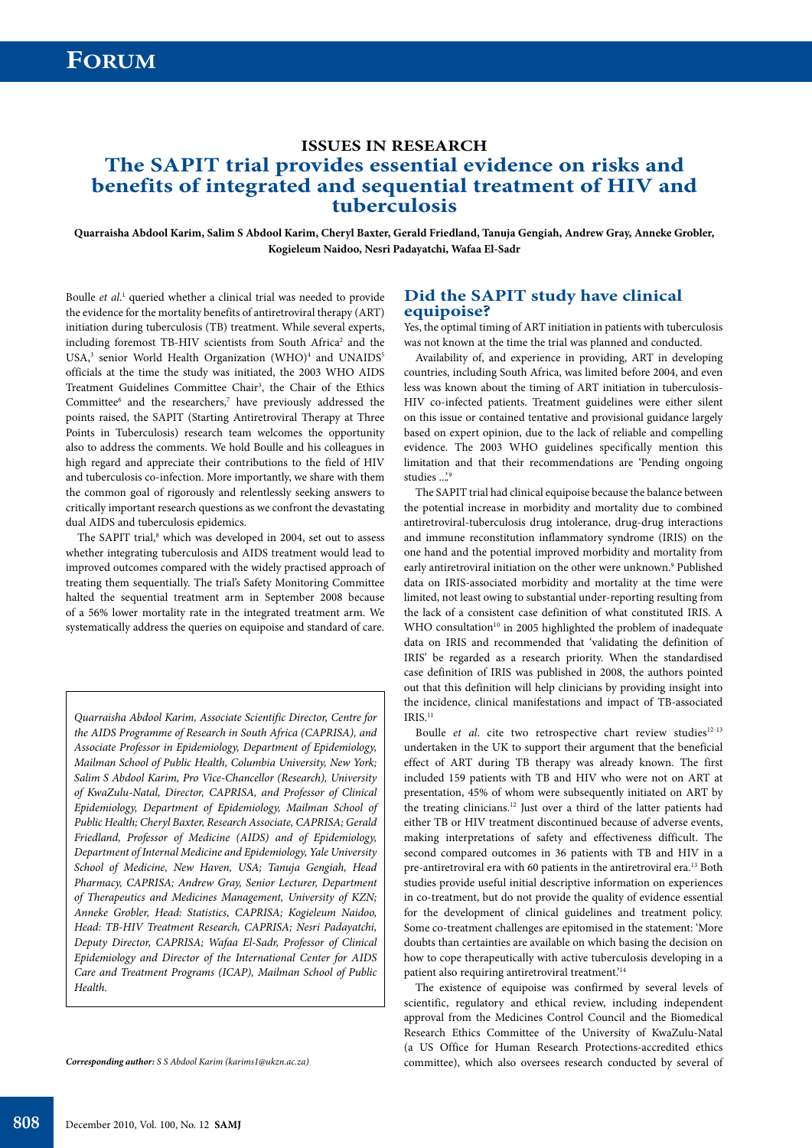## **ISSUES IN RESEARCH The SAPIT trial provides essential evidence on risks and benefits of integrated and sequential treatment of HIV and tuberculosis**

**Quarraisha Abdool Karim, Salim S Abdool Karim, Cheryl Baxter, Gerald Friedland, Tanuja Gengiah, Andrew Gray, Anneke Grobler, Kogieleum Naidoo, Nesri Padayatchi, Wafaa El-Sadr**

Boulle et al.<sup>1</sup> queried whether a clinical trial was needed to provide the evidence for the mortality benefits of antiretroviral therapy (ART) initiation during tuberculosis (TB) treatment. While several experts, including foremost TB-HIV scientists from South Africa<sup>2</sup> and the USA,<sup>3</sup> senior World Health Organization (WHO)<sup>4</sup> and UNAIDS<sup>5</sup> officials at the time the study was initiated, the 2003 WHO AIDS Treatment Guidelines Committee Chair<sup>3</sup>, the Chair of the Ethics Committee<sup>6</sup> and the researchers,<sup>7</sup> have previously addressed the points raised, the SAPIT (Starting Antiretroviral Therapy at Three Points in Tuberculosis) research team welcomes the opportunity also to address the comments. We hold Boulle and his colleagues in high regard and appreciate their contributions to the field of HIV and tuberculosis co-infection. More importantly, we share with them the common goal of rigorously and relentlessly seeking answers to critically important research questions as we confront the devastating dual AIDS and tuberculosis epidemics.

The SAPIT trial,<sup>8</sup> which was developed in 2004, set out to assess whether integrating tuberculosis and AIDS treatment would lead to improved outcomes compared with the widely practised approach of treating them sequentially. The trial's Safety Monitoring Committee halted the sequential treatment arm in September 2008 because of a 56% lower mortality rate in the integrated treatment arm. We systematically address the queries on equipoise and standard of care.

*Quarraisha Abdool Karim, Associate Scientific Director, Centre for the AIDS Programme of Research in South Africa (CAPRISA), and Associate Professor in Epidemiology, Department of Epidemiology, Mailman School of Public Health, Columbia University, New York; Salim S Abdool Karim, Pro Vice-Chancellor (Research), University of KwaZulu-Natal, Director, CAPRISA, and Professor of Clinical Epidemiology, Department of Epidemiology, Mailman School of Public Health; Cheryl Baxter, Research Associate, CAPRISA; Gerald Friedland, Professor of Medicine (AIDS) and of Epidemiology, Department of Internal Medicine and Epidemiology, Yale University School of Medicine, New Haven, USA; Tanuja Gengiah, Head Pharmacy, CAPRISA; Andrew Gray, Senior Lecturer, Department of Therapeutics and Medicines Management, University of KZN; Anneke Grobler, Head: Statistics, CAPRISA; Kogieleum Naidoo, Head: TB-HIV Treatment Research, CAPRISA; Nesri Padayatchi, Deputy Director, CAPRISA; Wafaa El-Sadr, Professor of Clinical Epidemiology and Director of the International Center for AIDS Care and Treatment Programs (ICAP), Mailman School of Public Health.*

## **Did the SAPIT study have clinical equipoise?**

Yes, the optimal timing of ART initiation in patients with tuberculosis was not known at the time the trial was planned and conducted.

Availability of, and experience in providing, ART in developing countries, including South Africa, was limited before 2004, and even less was known about the timing of ART initiation in tuberculosis-HIV co-infected patients. Treatment guidelines were either silent on this issue or contained tentative and provisional guidance largely based on expert opinion, due to the lack of reliable and compelling evidence. The 2003 WHO guidelines specifically mention this limitation and that their recommendations are 'Pending ongoing studies  $\mathring{a}$ <sup>9</sup>

The SAPIT trial had clinical equipoise because the balance between the potential increase in morbidity and mortality due to combined antiretroviral-tuberculosis drug intolerance, drug-drug interactions and immune reconstitution inflammatory syndrome (IRIS) on the one hand and the potential improved morbidity and mortality from early antiretroviral initiation on the other were unknown.<sup>9</sup> Published data on IRIS-associated morbidity and mortality at the time were limited, not least owing to substantial under-reporting resulting from the lack of a consistent case definition of what constituted IRIS. A WHO consultation<sup>10</sup> in 2005 highlighted the problem of inadequate data on IRIS and recommended that 'validating the definition of IRIS' be regarded as a research priority. When the standardised case definition of IRIS was published in 2008, the authors pointed out that this definition will help clinicians by providing insight into the incidence, clinical manifestations and impact of TB-associated IRIS.11

Boulle *et al.* cite two retrospective chart review studies<sup>12-13</sup> undertaken in the UK to support their argument that the beneficial effect of ART during TB therapy was already known. The first included 159 patients with TB and HIV who were not on ART at presentation, 45% of whom were subsequently initiated on ART by the treating clinicians.12 Just over a third of the latter patients had either TB or HIV treatment discontinued because of adverse events, making interpretations of safety and effectiveness difficult. The second compared outcomes in 36 patients with TB and HIV in a pre-antiretroviral era with 60 patients in the antiretroviral era.<sup>13</sup> Both studies provide useful initial descriptive information on experiences in co-treatment, but do not provide the quality of evidence essential for the development of clinical guidelines and treatment policy. Some co-treatment challenges are epitomised in the statement: 'More doubts than certainties are available on which basing the decision on how to cope therapeutically with active tuberculosis developing in a patient also requiring antiretroviral treatment.'14

The existence of equipoise was confirmed by several levels of scientific, regulatory and ethical review, including independent approval from the Medicines Control Council and the Biomedical Research Ethics Committee of the University of KwaZulu-Natal (a US Office for Human Research Protections-accredited ethics *Corresponding author: S S Abdool Karim (karims1@ukzn.ac.za)* committee), which also oversees research conducted by several of